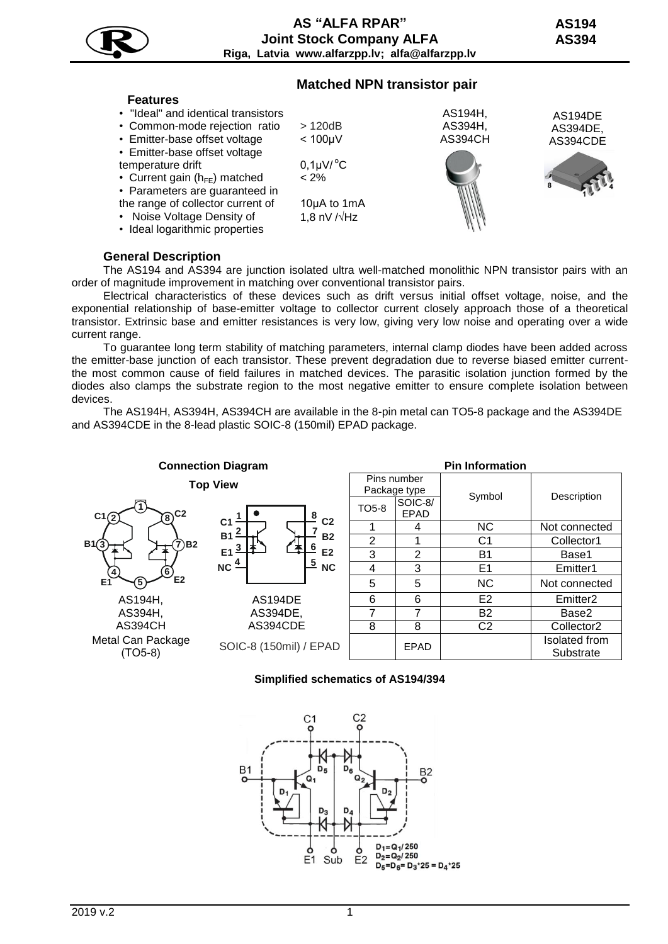|--|

# **Matched NPN transistor pair**



## **General Description**

The AS194 and AS394 are junction isolated ultra well-matched monolithic NPN transistor pairs with an order of magnitude improvement in matching over conventional transistor pairs.

Electrical characteristics of these devices such as drift versus initial offset voltage, noise, and the exponential relationship of base-emitter voltage to collector current closely approach those of a theoretical transistor. Extrinsic base and emitter resistances is very low, giving very low noise and operating over a wide current range.

To guarantee long term stability of matching parameters, internal clamp diodes have been added across the emitter-base junction of each transistor. These prevent degradation due to reverse biased emitter currentthe most common cause of field failures in matched devices. The parasitic isolation junction formed by the diodes also clamps the substrate region to the most negative emitter to ensure complete isolation between devices.

The AS194H, AS394H, AS394CH are available in the 8-pin metal can TO5-8 package and the AS394DE and AS394CDE in the 8-lead plastic SOIC-8 (150mil) EPAD package.



## **Simplified schematics of AS194/394**

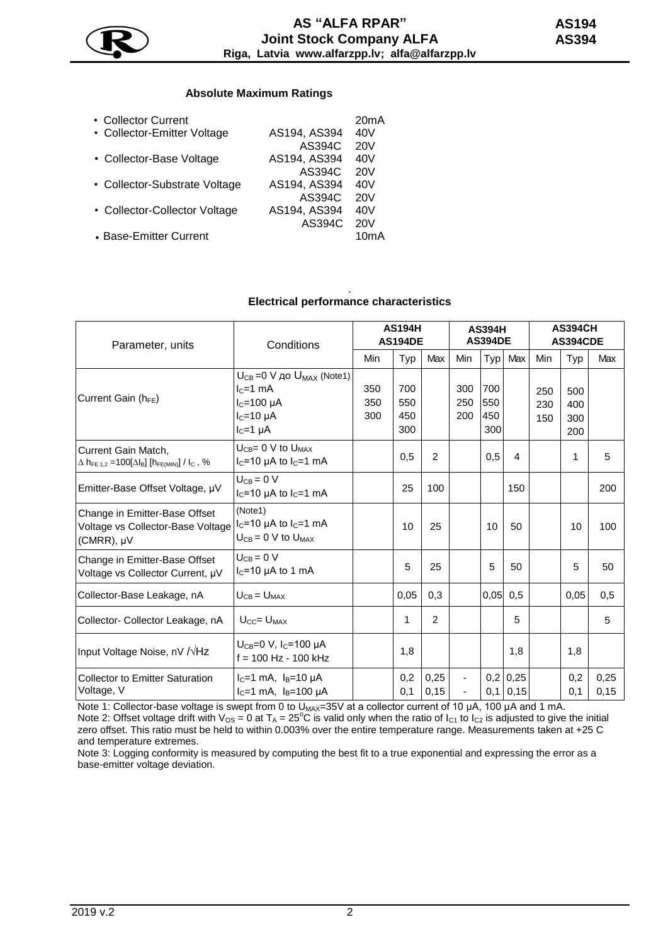

## **Absolute Maximum Ratings**

| • Collector Current           |              | 20 <sub>m</sub> A |
|-------------------------------|--------------|-------------------|
| • Collector-Emitter Voltage   | AS194, AS394 | 40V               |
|                               | AS394C       | 20V               |
| • Collector-Base Voltage      | AS194, AS394 | 40V               |
|                               | AS394C       | 20V               |
| • Collector-Substrate Voltage | AS194, AS394 | 40V               |
|                               | AS394C       | 20V               |
| • Collector-Collector Voltage | AS194, AS394 | 40V               |
|                               | AS394C       | 20V               |
| • Base-Emitter Current        |              | 10mA              |
|                               |              |                   |

#### . **Electrical performance characteristics**

| Parameter, units                                                                                                                  | Conditions                                                                                               | <b>AS194H</b><br><b>AS194DE</b> |                          | <b>AS394H</b><br><b>AS394DE</b> |                   |                          | <b>AS394CH</b><br>AS394CDE |                   |                          |              |
|-----------------------------------------------------------------------------------------------------------------------------------|----------------------------------------------------------------------------------------------------------|---------------------------------|--------------------------|---------------------------------|-------------------|--------------------------|----------------------------|-------------------|--------------------------|--------------|
|                                                                                                                                   |                                                                                                          | Min                             | Typ                      | Max                             | Min               |                          | Typ Max                    | Min               | Typ                      | Max          |
| Current Gain ( $h_{FE}$ )                                                                                                         | $U_{CB} = 0$ V до $U_{MAX}$ (Note1)<br>$IC=1$ mA<br>$IC=100 \mu A$<br>$IC=10 \mu A$<br>$I_C = 1$ $\mu$ A | 350<br>350<br>300               | 700<br>550<br>450<br>300 |                                 | 300<br>250<br>200 | 700<br>550<br>450<br>300 |                            | 250<br>230<br>150 | 500<br>400<br>300<br>200 |              |
| Current Gain Match,<br>$\Delta$ h <sub>FE 1.2</sub> = 100[ $\Delta$ l <sub>B</sub> ] [h <sub>FE(MIN)</sub> ] / l <sub>C</sub> , % | $U_{CB} = 0$ V to $U_{MAX}$<br>$I_C = 10$ µA to $I_C = 1$ mA                                             |                                 | 0,5                      | $\mathfrak{p}$                  |                   | 0,5                      | $\overline{\mathbf{4}}$    |                   | 1                        | 5            |
| Emitter-Base Offset Voltage, µV                                                                                                   | $U_{CB} = 0 V$<br>$I_C = 10$ µA to $I_C = 1$ mA                                                          |                                 | 25                       | 100                             |                   |                          | 150                        |                   |                          | 200          |
| Change in Emitter-Base Offset<br>Voltage vs Collector-Base Voltage<br>(CMRR), µV                                                  | (Note1)<br>$I_C = 10$ µA to $I_C = 1$ mA<br>$U_{CB} = 0$ V to $U_{MAX}$                                  |                                 | 10                       | 25                              |                   | 10                       | 50                         |                   | 10                       | 100          |
| Change in Emitter-Base Offset<br>Voltage vs Collector Current, µV                                                                 | $U_{CB} = 0 V$<br>$I_C$ =10 µA to 1 mA                                                                   |                                 | 5                        | 25                              |                   | 5                        | 50                         |                   | 5                        | 50           |
| Collector-Base Leakage, nA                                                                                                        | $U_{CB} = U_{MAX}$                                                                                       |                                 | 0,05                     | 0,3                             |                   | $0,05$ 0,5               |                            |                   | 0,05                     | 0,5          |
| Collector- Collector Leakage, nA                                                                                                  | $U_{CC} = U_{MAX}$                                                                                       |                                 | 1                        | $\overline{2}$                  |                   |                          | 5                          |                   |                          | 5            |
| Input Voltage Noise, nV / VHz                                                                                                     | $U_{CB}=0$ V, $I_C=100$ $\mu$ A<br>$f = 100$ Hz - 100 kHz                                                |                                 | 1,8                      |                                 |                   |                          | 1,8                        |                   | 1,8                      |              |
| <b>Collector to Emitter Saturation</b><br>Voltage, V                                                                              | $I_C = 1$ mA, $I_B = 10 \mu A$<br>$I_C = 1$ mA, $I_B = 100 \mu A$                                        |                                 | 0,2<br>0,1               | 0,25<br>0,15                    |                   | 0,1                      | $0,2$ 0,25<br>0,15         |                   | 0,2<br>0,1               | 0,25<br>0.15 |

Note 1: Collector-base voltage is swept from 0 to U<sub>MAX</sub>=35V at a collector current of 10 µA, 100 µA and 1 mA. Note 2: Offset voltage drift with  $V_{OS} = 0$  at  $T_A = 25^\circ \text{C}$  is valid only when the ratio of  $I_{C1}$  to  $I_{C2}$  is adjusted to give the initial zero offset. This ratio must be held to within 0.003% over the entire temperature range. Measurements taken at +25 C and temperature extremes.

Note 3: Logging conformity is measured by computing the best fit to a true exponential and expressing the error as a base-emitter voltage deviation.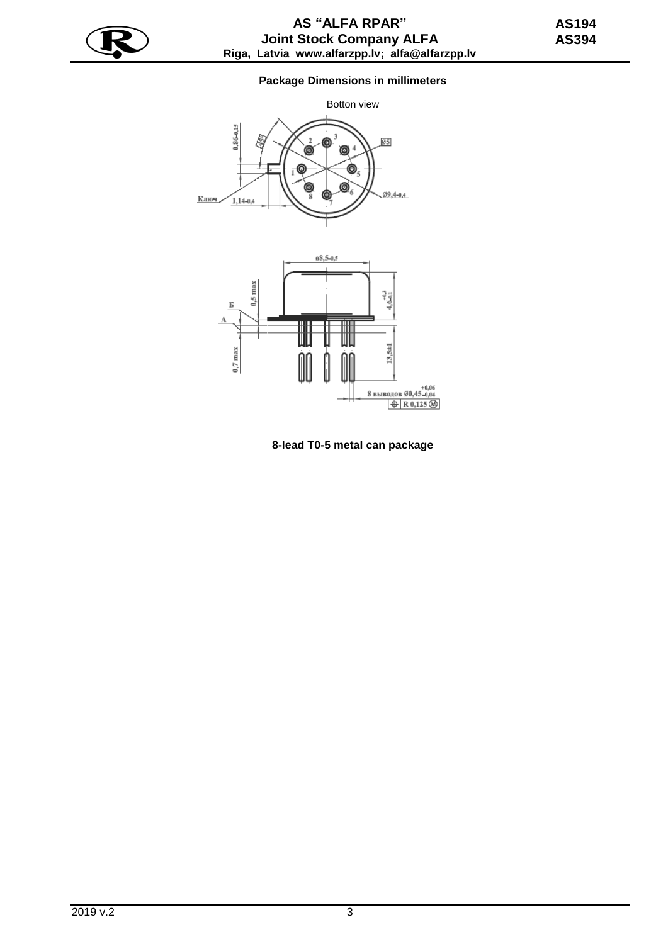

# **Package Dimensions in millimeters**



**8-lead T0-5 metal can package**